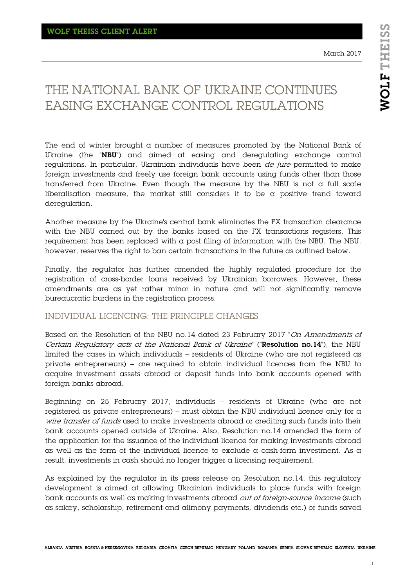# THE NATIONAL BANK OF UKRAINE CONTINUES EASING EXCHANGE CONTROL REGULATIONS

The end of winter brought a number of measures promoted by the National Bank of Ukraine (the "NBU") and aimed at easing and deregulating exchange control regulations. In particular, Ukrainian individuals have been de jure permitted to make foreign investments and freely use foreign bank accounts using funds other than those transferred from Ukraine. Even though the measure by the NBU is not a full scale liberalisation measure, the market still considers it to be a positive trend toward deregulation.

Another measure by the Ukraine's central bank eliminates the FX transaction clearance with the NBU carried out by the banks based on the FX transactions registers. This requirement has been replaced with  $\alpha$  post filing of information with the NBU. The NBU, however, reserves the right to ban certain transactions in the future as outlined below.

Finally, the regulator has further amended the highly regulated procedure for the registration of cross-border loans received by Ukrainian borrowers. However, these amendments are as yet rather minor in nature and will not significantly remove bureaucratic burdens in the registration process.

#### INDIVIDUAL LICENCING: THE PRINCIPLE CHANGES

Based on the Resolution of the NBU no.14 dated 23 February 2017 "On Amendments of Certain Regulatory acts of the National Bank of Ukraine" ("Resolution no.14"), the NBU limited the cases in which individuals – residents of Ukraine (who are not registered as private entrepreneurs) – are required to obtain individual licences from the NBU to acquire investment assets abroad or deposit funds into bank accounts opened with foreign banks abroad.

Beginning on 25 February 2017, individuals – residents of Ukraine (who are not registered as private entrepreneurs) – must obtain the NBU individual licence only for  $\alpha$ wire transfer of funds used to make investments abroad or crediting such funds into their bank accounts opened outside of Ukraine. Also, Resolution no.14 amended the form of the application for the issuance of the individual licence for making investments abroad as well as the form of the individual licence to exclude a cash-form investment. As a result, investments in cash should no longer trigger a licensing requirement.

As explained by the regulator in its press release on Resolution no.14, this regulatory development is aimed at allowing Ukrainian individuals to place funds with foreign bank accounts as well as making investments abroad *out of foreign-source income* (such as salary, scholarship, retirement and alimony payments, dividends etc.) or funds saved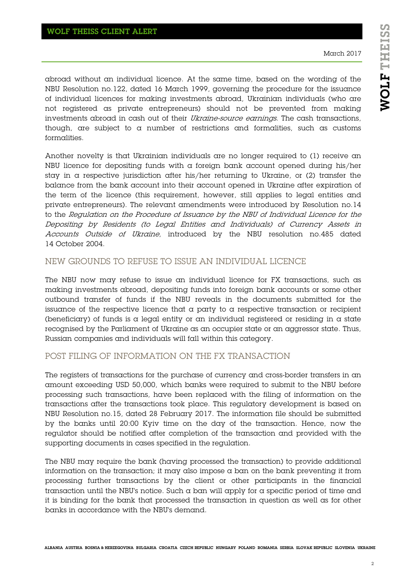March 2017

abroad without an individual licence. At the same time, based on the wording of the NBU Resolution no.122, dated 16 March 1999, governing the procedure for the issuance of individual licences for making investments abroad, Ukrainian individuals (who are not registered as private entrepreneurs) should not be prevented from making investments abroad in cash out of their Ukraine-source earnings. The cash transactions, though, are subject to a number of restrictions and formalities, such as customs formalities.

Another novelty is that Ukrainian individuals are no longer required to (1) receive an NBU licence for depositing funds with  $\alpha$  foreign bank account opened during his/her stay in a respective jurisdiction after his/her returning to Ukraine, or (2) transfer the balance from the bank account into their account opened in Ukraine after expiration of the term of the licence (this requirement, however, still applies to legal entities and private entrepreneurs). The relevant amendments were introduced by Resolution no.14 to the Regulation on the Procedure of Issuance by the NBU of Individual Licence for the Depositing by Residents (to Legal Entities and Individuals) of Currency Assets in Accounts Outside of Ukraine, introduced by the NBU resolution no.485 dated 14 October 2004.

#### NEW GROUNDS TO REFUSE TO ISSUE AN INDIVIDUAL LICENCE

The NBU now may refuse to issue an individual licence for FX transactions, such as making investments abroad, depositing funds into foreign bank accounts or some other outbound transfer of funds if the NBU reveals in the documents submitted for the issuance of the respective licence that a party to a respective transaction or recipient (beneficiary) of funds is a legal entity or an individual registered or residing in a state recognised by the Parliament of Ukraine as an occupier state or an aggressor state. Thus, Russian companies and individuals will fall within this category.

## POST FILING OF INFORMATION ON THE FX TRANSACTION

The registers of transactions for the purchase of currency and cross-border transfers in an amount exceeding USD 50,000, which banks were required to submit to the NBU before processing such transactions, have been replaced with the filing of information on the transactions after the transactions took place. This regulatory development is based on NBU Resolution no.15, dated 28 February 2017. The information file should be submitted by the banks until 20:00 Kyiv time on the day of the transaction. Hence, now the regulator should be notified after completion of the transaction and provided with the supporting documents in cases specified in the regulation.

The NBU may require the bank (having processed the transaction) to provide additional information on the transaction; it may also impose a ban on the bank preventing it from processing further transactions by the client or other participants in the financial transaction until the NBU's notice. Such a ban will apply for a specific period of time and it is binding for the bank that processed the transaction in question as well as for other banks in accordance with the NBU's demand.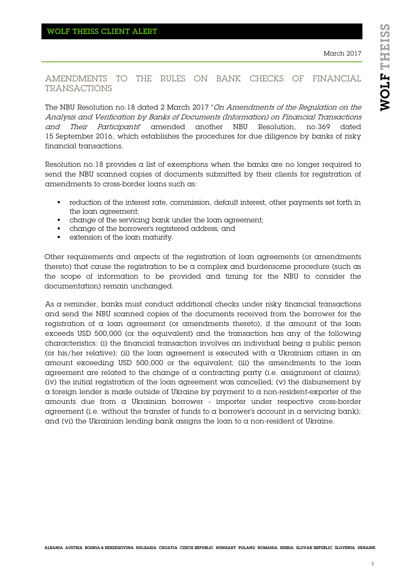### AMENDMENTS TO THE RULES ON BANK CHECKS OF FINANCIAL TRANSACTIONS

The NBU Resolution no.18 dated 2 March 2017 "On Amendments of the Regulation on the Analysis and Verification by Banks of Documents (Information) on Financial Transactions and Their Participants" amended another NBU Resolution, no.369 dated 15 September 2016, which establishes the procedures for due diligence by banks of risky financial transactions.

Resolution no.18 provides  $\alpha$  list of exemptions when the banks are no longer required to send the NBU scanned copies of documents submitted by their clients for registration of amendments to cross-border loans such as:

- reduction of the interest rate, commission, default interest, other payments set forth in the loan agreement;
- change of the servicing bank under the loan agreement;
- change of the borrower's registered address; and
- extension of the loan maturity.

Other requirements and aspects of the registration of loan agreements (or amendments thereto) that cause the registration to be a complex and burdensome procedure (such as the scope of information to be provided and timing for the NBU to consider the documentation) remain unchanged.

As a reminder, banks must conduct additional checks under risky financial transactions and send the NBU scanned copies of the documents received from the borrower for the registration of  $\alpha$  loan agreement (or amendments thereto), if the amount of the loan exceeds USD 500,000 (or the equivalent) and the transaction has any of the following characteristics: (i) the financial transaction involves an individual being  $\alpha$  public person (or his/her relative); (ii) the loan agreement is executed with a Ukrainian citizen in an amount exceeding USD 500,000 or the equivalent; (iii) the amendments to the loan agreement are related to the change of a contracting party (i.e. assignment of claims); (iv) the initial registration of the loan agreement was cancelled; (v) the disbursement by a foreign lender is made outside of Ukraine by payment to a non-resident-exporter of the amounts due from a Ukrainian borrower - importer under respective cross-border agreement (i.e. without the transfer of funds to a borrower's account in a servicing bank); and (vi) the Ukrainian lending bank assigns the loan to a non-resident of Ukraine.